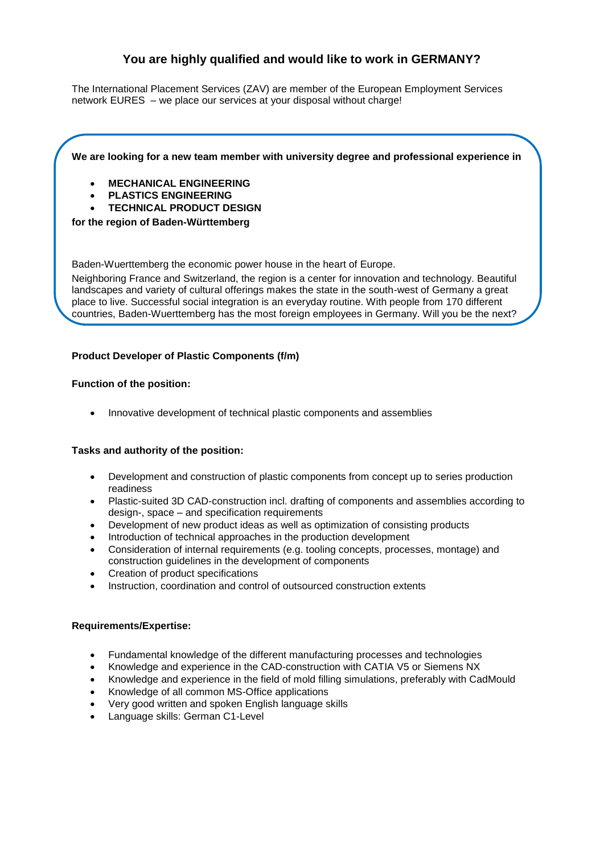# **You are highly qualified and would like to work in GERMANY?**

The International Placement Services (ZAV) are member of the European Employment Services network [EURES](http://ec.europa.eu/eures) – [we](http://dict.leo.org/ende/index_de.html#/search=We&searchLoc=0&resultOrder=basic&multiwordShowSingle=on) [place](http://dict.leo.org/ende/index_de.html#/search=place&searchLoc=0&resultOrder=basic&multiwordShowSingle=on) [our](http://dict.leo.org/ende/index_de.html#/search=our&searchLoc=0&resultOrder=basic&multiwordShowSingle=on) [services](http://dict.leo.org/ende/index_de.html#/search=services&searchLoc=0&resultOrder=basic&multiwordShowSingle=on) [at](http://dict.leo.org/ende/index_de.html#/search=at&searchLoc=0&resultOrder=basic&multiwordShowSingle=on) [your](http://dict.leo.org/ende/index_de.html#/search=your&searchLoc=0&resultOrder=basic&multiwordShowSingle=on) disposal without charge!

## **We are looking for a new team member with university degree and professional experience in**

- **MECHANICAL ENGINEERING**
- **PLASTICS ENGINEERING**
- **TECHNICAL PRODUCT DESIGN**

#### **for the region of Baden-Württemberg**

Baden-Wuerttemberg the economic power house in the heart of Europe.

Neighboring France and Switzerland, the region is a center for innovation and technology. Beautiful landscapes and variety of cultural offerings makes the state in the south-west of Germany a great place to live. Successful social integration is an everyday routine. With people from 170 different countries, Baden-Wuerttemberg has the most foreign employees in Germany. Will you be the next?

## **Product Developer of Plastic Components (f/m)**

#### **Function of the position:**

Innovative development of technical plastic components and assemblies

#### **Tasks and authority of the position:**

- Development and construction of plastic components from concept up to series production readiness
- Plastic-suited 3D CAD-construction incl. drafting of components and assemblies according to design-, space – and specification requirements
- Development of new product ideas as well as optimization of consisting products
- Introduction of technical approaches in the production development
- Consideration of internal requirements (e.g. tooling concepts, processes, montage) and construction guidelines in the development of components
- Creation of product specifications
- Instruction, coordination and control of outsourced construction extents

#### **Requirements/Expertise:**

- Fundamental knowledge of the different manufacturing processes and technologies
- Knowledge and experience in the CAD-construction with CATIA V5 or Siemens NX
- Knowledge and experience in the field of mold filling simulations, preferably with CadMould
- Knowledge of all common MS-Office applications
- Very good written and spoken English language skills
- Language skills: German C1-Level